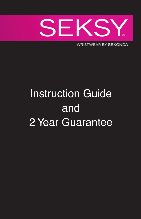

WRISTWEAR BY SEKONDA

# **Instruction Guide** and 2 Year Guarantee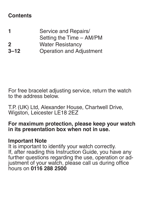#### **Contents**

| 1              | Service and Repairs/     |
|----------------|--------------------------|
|                | Setting the Time - AM/PM |
| $\overline{2}$ | <b>Water Resistancy</b>  |
| $3 - 12$       | Operation and Adjustment |

For free bracelet adjusting service, return the watch to the address below.

T.P. (UK) Ltd, Alexander House, Chartwell Drive, Wigston, Leicester LE18 2EZ

**For maximum protection, please keep your watch in its presentation box when not in use.**

#### **Important Note**

It is important to identify your watch correctly. If, after reading this Instruction Guide, you have any further questions regarding the use, operation or adjustment of your watch, please call us during office hours on **0116 288 2500**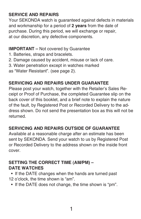## ✁ **SERVICE AND REPAIRS**

Your SEKONDA watch is guaranteed against defects in materials and workmanship for a period of **2 years** from the date of purchase. During this period, we will exchange or repair, at our discretion, any defective components.

#### **IMPORTANT –** Not covered by Guarantee

- 1. Batteries, straps and bracelets.
- 2. Damage caused by accident, misuse or lack of care.
- 3. Water penetration except in watches marked
- as "Water Resistant". (see page 2).

#### **SERVICING AND REPAIRS UNDER GUARANTEE**

Please post your watch, together with the Retailer's Sales Receipt or Proof of Purchase, the completed Guarantee slip on the back cover of this booklet, and a brief note to explain the nature of the fault, by Registered Post or Recorded Delivery to the address shown. Do not send the presentation box as this will not be returned.

#### **SERVICING AND REPAIRS OUTSIDE OF GUARANTEE**

Available at a reasonable charge after an estimate has been sent by SEKONDA. Send your watch to us by Registered Post or Recorded Delivery to the address shown on the inside front cover.

#### **SETTING THE CORRECT TIME (AM/PM) – DATE WATCHES**

- If the DATE changes when the hands are turned past 12 o'clock, the time shown is "am".
	- If the DATE does not change, the time shown is "pm".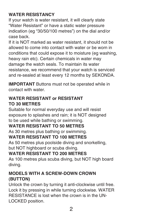**WATER RESISTANCY** If your watch is water resistant, it will clearly state "Water Resistant" or have a static water pressure indication (eg "30/50/100 metres") on the dial and/or case back.

If it is NOT marked as water resistant, it should not be allowed to come into contact with water or be worn in conditions that could expose it to moisture (eg washing, heavy rain etc). Certain chemicals in water may damage the watch seals. To maintain its water resistance, we recommend that your watch is serviced and re-sealed at least every 12 months by SEKONDA.

**IMPORTANT** Buttons must not be operated while in contact with water.

#### **WATER RESISTANT or RESISTANT TO 30 METRES**

Suitable for normal everyday use and will resist exposure to splashes and rain; it is NOT designed to be used while bathing or swimming. **WATER RESISTANT TO 50 METRES** As 30 metres plus bathing or swimming. **WATER RESISTANT TO 100 METRES** As 50 metres plus poolside diving and snorkelling. but NOT highboard or scuba diving. **WATER RESISTANT TO 200 METRES** As 100 metres plus scuba diving, but NOT high board

diving.

#### **MODELS WITH A SCREW-DOWN CROWN (BUTTON)**

Unlock the crown by turning it anti-clockwise until free. Lock it by pressing in while turning clockwise. WATER RESISTANCE is lost when the crown is in the UN-LOCKED position.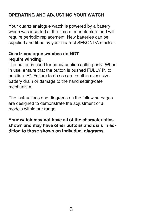#### **OPERATING AND ADJUSTING YOUR WATCH**

Your quartz analogue watch is powered by a battery which was inserted at the time of manufacture and will require periodic replacement. New batteries can be supplied and fitted by your nearest SEKONDA stockist.

#### **Quartz analogue watches do NOT require winding.**

The button is used for hand/function setting only. When in use, ensure that the button is pushed FULLY IN to position "A". Failure to do so can result in excessive battery drain or damage to the hand setting/date mechanism.

The instructions and diagrams on the following pages are designed to demonstrate the adjustment of all models within our range.

**Your watch may not have all of the characteristics shown and may have other buttons and dials in addition to those shown on individual diagrams.**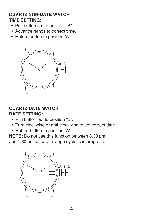#### **QUARTZ NON-DATE WATCH TIME SETTING:**

- Pull button out to position "B".
- Advance hands to correct time.
- Return button to position "A".



#### **QUARTZ DATE WATCH**

#### **DATE SETTING:**

- Pull button out to position "B".
- Turn clockwise or anti-clockwise to set correct date.
- Return button to position "A".

**NOTE:** Do not use this function between 8.30 pm

and 1.30 am as date change cycle is in progress.

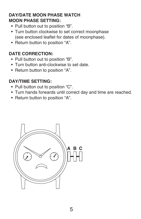#### **DAY/DATE MOON PHASE WATCH MOON PHASE SETTING:**

- Pull button out to position "B".
- Turn button clockwise to set correct moonphase (see enclosed leaflet for dates of moonphase).
- Return button to position "A".

#### **DATE CORRECTION:**

- Pull button out to position "B".
- Turn button anti-clockwise to set date.
- Return button to position "A".

#### **DAY/TIME SETTING:**

- Pull button out to position "C".
- Turn hands forwards until correct day and time are reached.
- Return button to position "A".

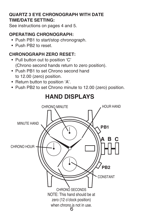#### **QUARTZ 3 EYE CHRONOGRAPH WITH DATE TIME/DATE SETTING:**

See instructions on pages 4 and 5.

#### **OPERATING CHRONOGRAPH:**

- Push PB1 to start/stop chronograph.
- Push PB2 to reset.

#### **CHRONOGRAPH ZERO RESET:**

- Pull button out to position 'C' (Chrono second hands return to zero position).
- Push PB1 to set Chrono second hand to 12.00 (zero) position.
- Return button to position 'A'.
- Push PB2 to set Chrono minute to 12.00 (zero) position.

### **HAND DISPLAYS**

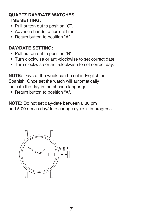#### **QUARTZ DAY/DATE WATCHES TIME SETTING:**

- Pull button out to position "C".
- Advance hands to correct time.
- Return button to position "A".

#### **DAY/DATE SETTING:**

- Pull button out to position "B".
- Turn clockwise or anti-clockwise to set correct date.
- Turn clockwise or anti-clockwise to set correct day.

**NOTE:** Days of the week can be set in English or Spanish. Once set the watch will automatically indicate the day in the chosen language.

• Return button to position "A".

**NOTE:** Do not set day/date between 8.30 pm and 5.00 am as day/date change cycle is in progress.

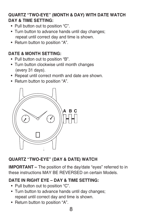#### **QUARTZ "TWO-EYE" (MONTH & DAY) WITH DATE WATCH DAY & TIME SETTING:**

- Pull button out to position "C".
- Turn button to advance hands until day changes; repeat until correct day and time is shown.
- Return button to position "A".

#### **DATE & MONTH SETTING:**

- Pull button out to position "B".
- Turn button clockwise until month changes (every 31 days).
- Repeat until correct month and date are shown.
- Return button to position "A".



#### **QUARTZ "TWO-EYE" (DAY & DATE) WATCH**

**IMPORTANT –** The position of the day/date "eyes" referred to in these instructions MAY BE REVERSED on certain Models.

#### **DATE IN RIGHT EYE – DAY & TIME SETTING:**

- Pull button out to position "C".
- Turn button to advance hands until day changes; repeat until correct day and time is shown.
- Return button to position "A".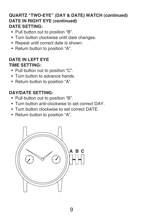#### **QUARTZ "TWO-EYE" (DAY & DATE) WATCH (continued) DATE IN RIGHT EYE (continued) DATE SETTING:**

- Pull button out to position "B".
- Turn button clockwise until date changes.
- Repeat until correct date is shown.
- Return button to position "A".

#### **DATE IN LEFT EYE**

#### **TIME SETTING:**

- Pull button out to position "C".
- Turn button to advance hands.
- Return button to position "A".

#### **DAY/DATE SETTING:**

- Pull button out to position "B".
- Turn button anti-clockwise to set correct DAY.
- Turn button clockwise to set correct DATE.
- Return button to position "A".

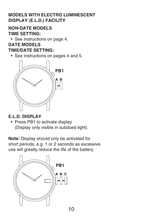#### **MODELS WITH ELECTRO LUMINESCENT DISPLAY (E.L.D.) FACILITY**

#### **NON-DATE MODELS**

#### **TIME SETTING:**

• See instructions on page 4.

#### **DATE MODELS**

#### **TIME/DATE SETTING:**

• See instructions on pages 4 and 5.



### **Fig 1 E.L.D. DISPLAY**

• Press PB1 to activate display (Display only visible in subdued light).

**Note:** Display should only be activated for short periods, e.g. 1 or 2 seconds as excessive use will greatly reduce the life of the battery.

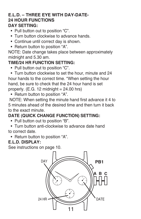#### **E.L.D. – THREE EYE WITH DAY-DATE-24 HOUR FUNCTIONS**

#### **DAY SETTING:**

- Pull button out to position "C".
- Turn button clockwise to advance hands.
- Continue until correct day is shown.
- Return button to position "A".

NOTE: Date change takes place between approximately midnight and 5.30 am.

#### **TIME/24 HR FUNCTION SETTING:**

- Pull button out to position "C".
- Turn button clockwise to set the hour, minute and 24

hour hands to the correct time. \*When setting the hour hand, be sure to check that the 24 hour hand is set

properly. (E.G. 12 midnight = 24.00 hrs)

• Return button to position "A".

NOTE: When setting the minute hand first advance it 4 to 5 minutes ahead of the desired time and then turn it back to the exact minute.

#### **DATE (QUICK CHANGE FUNCTION) SETTING:**

- Pull button out to position "B".
- Turn button anti-clockwise to advance date hand to correct date.
	- Return button to position "A".

#### **E.L.D. DISPLAY:**

See instructions on page 10.

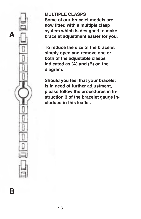**MULTIPLE CLASPS Some of our bracelet models are now fitted with a multiple clasp system which is designed to make bracelet adjustment easier for you.**

**To reduce the size of the bracelet simply open and remove one or both of the adjustable clasps indicated as (A) and (B) on the diagram.**

**Should you feel that your bracelet is in need of further adjustment, please follow the procedures in Instruction 3 of the bracelet gauge includued in this leaflet.**

**B**

**A**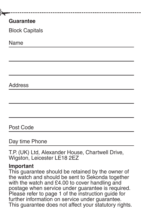

#### **Guarantee**

Block Capitals

Name

**Address** 

Post Code

Day time Phone

T.P. (UK) Ltd, Alexander House, Chartwell Drive, Wigston, Leicester LE18 2EZ

#### **Important**

This guarantee should be retained by the owner of the watch and should be sent to Sekonda together with the watch and £4.00 to cover handling and postage when service under guarantee is required. Please refer to page 1 of the instruction guide for further information on service under quarantee. This guarantee does not affect your statutory rights.